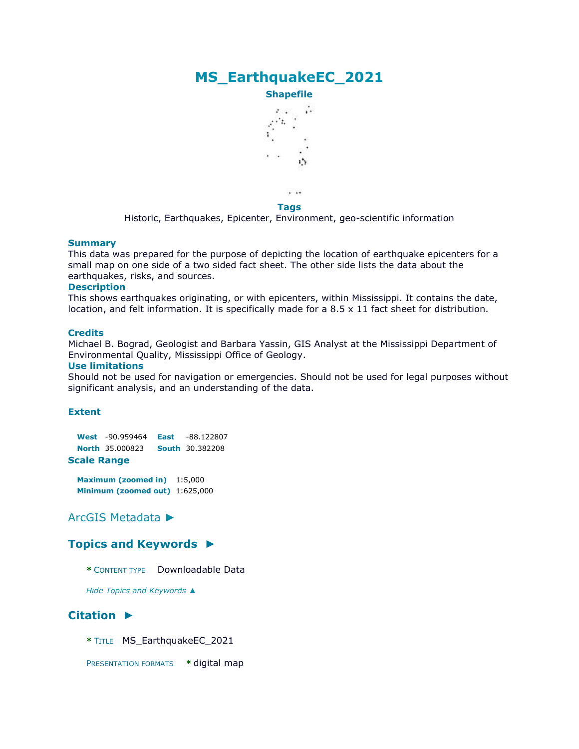# **MS\_EarthquakeEC\_2021**



 $\cdots$ **Tags**

Historic, Earthquakes, Epicenter, Environment, geo-scientific information

#### **Summary**

This data was prepared for the purpose of depicting the location of earthquake epicenters for a small map on one side of a two sided fact sheet. The other side lists the data about the earthquakes, risks, and sources.

#### **Description**

This shows earthquakes originating, or with epicenters, within Mississippi. It contains the date, location, and felt information. It is specifically made for a 8.5 x 11 fact sheet for distribution.

#### **Credits**

Michael B. Bograd, Geologist and Barbara Yassin, GIS Analyst at the Mississippi Department of Environmental Quality, Mississippi Office of Geology.

#### **Use limitations**

Should not be used for navigation or emergencies. Should not be used for legal purposes without significant analysis, and an understanding of the data.

#### **Extent**

**West** -90.959464 **East** -88.122807 **North** 35.000823 **South** 30.382208 **Scale Range**

**Maximum (zoomed in)** 1:5,000

**Minimum (zoomed out)** 1:625,000

### [ArcGIS Metadata](file:///C:/Users/swalker/AppData/Local/Temp/arcF10F/tmpAB41.tmp.htm%23arcgisMetadata) [►](file:///C:/Users/swalker/AppData/Local/Temp/arcF10F/tmpAB41.tmp.htm%23arcgisMetadata)

#### **[Topics and Keywords](file:///C:/Users/swalker/AppData/Local/Temp/arcF10F/tmpAB41.tmp.htm%23true) [►](file:///C:/Users/swalker/AppData/Local/Temp/arcF10F/tmpAB41.tmp.htm%23true)**

**\*** CONTENT TYPE Downloadable Data

*Hide [Topics and Keywords](file:///C:/Users/swalker/AppData/Local/Temp/arcF10F/tmpAB41.tmp.htm%23true) [▲](file:///C:/Users/swalker/AppData/Local/Temp/arcF10F/tmpAB41.tmp.htm%23true)*

## **[Citation](file:///C:/Users/swalker/AppData/Local/Temp/arcF10F/tmpAB41.tmp.htm%23ID0ENMA) [►](file:///C:/Users/swalker/AppData/Local/Temp/arcF10F/tmpAB41.tmp.htm%23ID0ENMA)**

- **\*** TITLE MS\_EarthquakeEC\_2021
- PRESENTATION FORMATS **\*** digital map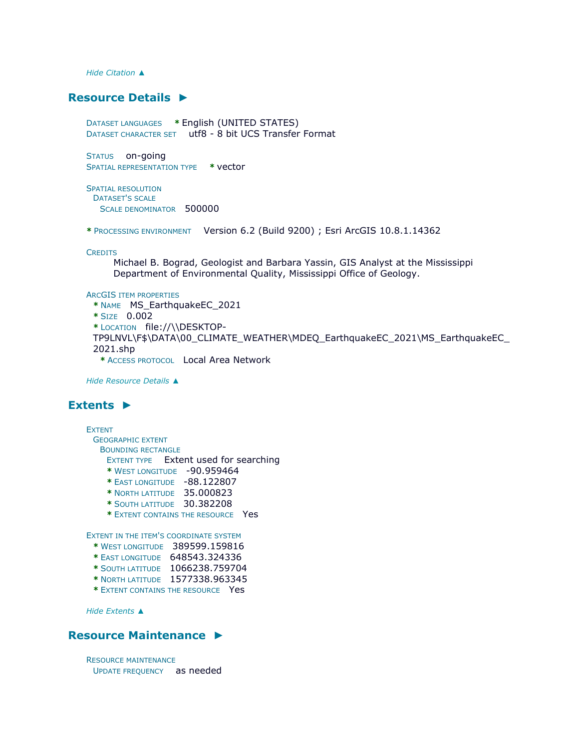*Hide [Citation](file:///C:/Users/swalker/AppData/Local/Temp/arcF10F/tmpAB41.tmp.htm%23ID0ENMA) [▲](file:///C:/Users/swalker/AppData/Local/Temp/arcF10F/tmpAB41.tmp.htm%23ID0ENMA)*

## **[Resource Details](file:///C:/Users/swalker/AppData/Local/Temp/arcF10F/tmpAB41.tmp.htm%23ID0EEBENA) [►](file:///C:/Users/swalker/AppData/Local/Temp/arcF10F/tmpAB41.tmp.htm%23ID0EEBENA)**

DATASET LANGUAGES **\*** English (UNITED STATES) DATASET CHARACTER SET utf8 - 8 bit UCS Transfer Format

STATUS on-going SPATIAL REPRESENTATION TYPE **\*** vector

SPATIAL RESOLUTION DATASET'S SCALE SCALE DENOMINATOR 500000

**\*** PROCESSING ENVIRONMENT Version 6.2 (Build 9200) ; Esri ArcGIS 10.8.1.14362

**CREDITS** 

Michael B. Bograd, Geologist and Barbara Yassin, GIS Analyst at the Mississippi Department of Environmental Quality, Mississippi Office of Geology.

#### ARCGIS ITEM PROPERTIES

```
* NAME MS_EarthquakeEC_2021 
* SIZE 0.002 
* LOCATION file://\\DESKTOP-
TP9LNVL\F$\DATA\00_CLIMATE_WEATHER\MDEQ_EarthquakeEC_2021\MS_EarthquakeEC_
2021.shp 
 * ACCESS PROTOCOL Local Area Network
```
*Hide [Resource Details](file:///C:/Users/swalker/AppData/Local/Temp/arcF10F/tmpAB41.tmp.htm%23ID0EEBENA) [▲](file:///C:/Users/swalker/AppData/Local/Temp/arcF10F/tmpAB41.tmp.htm%23ID0EEBENA)*

## **[Extents](file:///C:/Users/swalker/AppData/Local/Temp/arcF10F/tmpAB41.tmp.htm%23ID0EECBENA) [►](file:///C:/Users/swalker/AppData/Local/Temp/arcF10F/tmpAB41.tmp.htm%23ID0EECBENA)**

EXTENT GEOGRAPHIC EXTENT BOUNDING RECTANGLE EXTENT TYPE Extent used for searching **\*** WEST LONGITUDE -90.959464 **\*** EAST LONGITUDE -88.122807 **\*** NORTH LATITUDE 35.000823 **\*** SOUTH LATITUDE 30.382208 **\*** EXTENT CONTAINS THE RESOURCE Yes EXTENT IN THE ITEM'S COORDINATE SYSTEM **\*** WEST LONGITUDE 389599.159816 **\*** EAST LONGITUDE 648543.324336 **\*** SOUTH LATITUDE 1066238.759704 **\*** NORTH LATITUDE 1577338.963345

**\*** EXTENT CONTAINS THE RESOURCE Yes

*Hide [Extents](file:///C:/Users/swalker/AppData/Local/Temp/arcF10F/tmpAB41.tmp.htm%23ID0EECBENA) [▲](file:///C:/Users/swalker/AppData/Local/Temp/arcF10F/tmpAB41.tmp.htm%23ID0EECBENA)*

#### **[Resource Maintenance](file:///C:/Users/swalker/AppData/Local/Temp/arcF10F/tmpAB41.tmp.htm%23ID0EAMA) [►](file:///C:/Users/swalker/AppData/Local/Temp/arcF10F/tmpAB41.tmp.htm%23ID0EAMA)**

RESOURCE MAINTENANCE UPDATE FREQUENCY as needed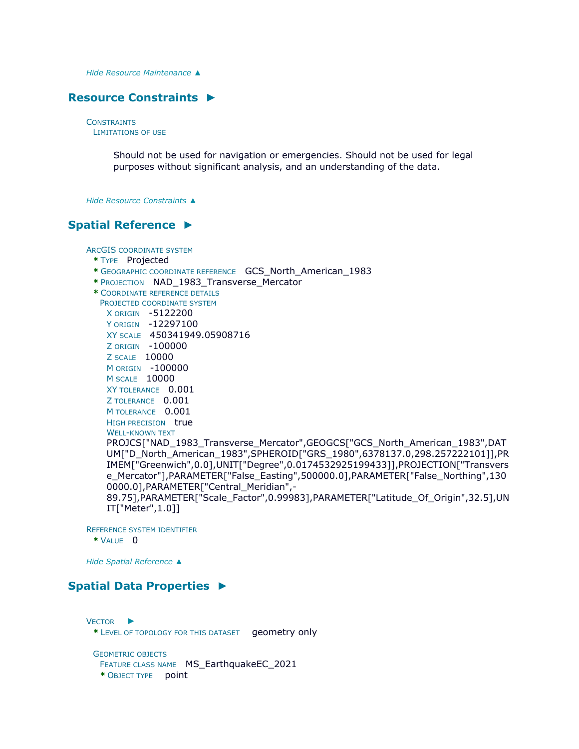*Hide [Resource Maintenance](file:///C:/Users/swalker/AppData/Local/Temp/arcF10F/tmpAB41.tmp.htm%23ID0EAMA) [▲](file:///C:/Users/swalker/AppData/Local/Temp/arcF10F/tmpAB41.tmp.htm%23ID0EAMA)*

#### **[Resource Constraints](file:///C:/Users/swalker/AppData/Local/Temp/arcF10F/tmpAB41.tmp.htm%23ID0EEMA) [►](file:///C:/Users/swalker/AppData/Local/Temp/arcF10F/tmpAB41.tmp.htm%23ID0EEMA)**

**CONSTRAINTS** LIMITATIONS OF USE

> Should not be used for navigation or emergencies. Should not be used for legal purposes without significant analysis, and an understanding of the data.

*Hide [Resource Constraints](file:///C:/Users/swalker/AppData/Local/Temp/arcF10F/tmpAB41.tmp.htm%23ID0EEMA) [▲](file:///C:/Users/swalker/AppData/Local/Temp/arcF10F/tmpAB41.tmp.htm%23ID0EEMA)*

### **[Spatial Reference](file:///C:/Users/swalker/AppData/Local/Temp/arcF10F/tmpAB41.tmp.htm%23ID0EEAENA) [►](file:///C:/Users/swalker/AppData/Local/Temp/arcF10F/tmpAB41.tmp.htm%23ID0EEAENA)**

ARCGIS COORDINATE SYSTEM **\*** TYPE Projected **\*** GEOGRAPHIC COORDINATE REFERENCE GCS\_North\_American\_1983 **\*** PROJECTION NAD\_1983\_Transverse\_Mercator **\*** COORDINATE REFERENCE DETAILS PROJECTED COORDINATE SYSTEM X ORIGIN -5122200 Y ORIGIN -12297100 XY SCALE 450341949.05908716 Z ORIGIN -100000 Z SCALE 10000 M ORIGIN -100000 M SCALE 10000 XY TOLERANCE 0.001 Z TOLERANCE 0.001 M TOLERANCE 0.001 HIGH PRECISION true WELL-KNOWN TEXT PROJCS["NAD\_1983\_Transverse\_Mercator",GEOGCS["GCS\_North\_American\_1983",DAT UM["D\_North\_American\_1983",SPHEROID["GRS\_1980",6378137.0,298.257222101]],PR IMEM["Greenwich",0.0],UNIT["Degree",0.0174532925199433]],PROJECTION["Transvers e\_Mercator"],PARAMETER["False\_Easting",500000.0],PARAMETER["False\_Northing",130 0000.0], PARAMETER<sup>["</sup>Central\_Meridian", -89.75],PARAMETER["Scale\_Factor",0.99983],PARAMETER["Latitude\_Of\_Origin",32.5],UN IT["Meter",1.0]]

REFERENCE SYSTEM IDENTIFIER **\*** VALUE 0

*Hide [Spatial Reference](file:///C:/Users/swalker/AppData/Local/Temp/arcF10F/tmpAB41.tmp.htm%23ID0EEAENA) [▲](file:///C:/Users/swalker/AppData/Local/Temp/arcF10F/tmpAB41.tmp.htm%23ID0EEAENA)*

## **[Spatial Data Properties](file:///C:/Users/swalker/AppData/Local/Temp/arcF10F/tmpAB41.tmp.htm%23ID0EFAASA) [►](file:///C:/Users/swalker/AppData/Local/Temp/arcF10F/tmpAB41.tmp.htm%23ID0EFAASA)**

V[ECTOR](file:///C:/Users/swalker/AppData/Local/Temp/arcF10F/tmpAB41.tmp.htm%23ID0EBADA) ► **\*** LEVEL OF TOPOLOGY FOR THIS DATASET geometry only

GEOMETRIC OBJECTS FEATURE CLASS NAME MS\_EarthquakeEC\_2021 **\*** OBJECT TYPE point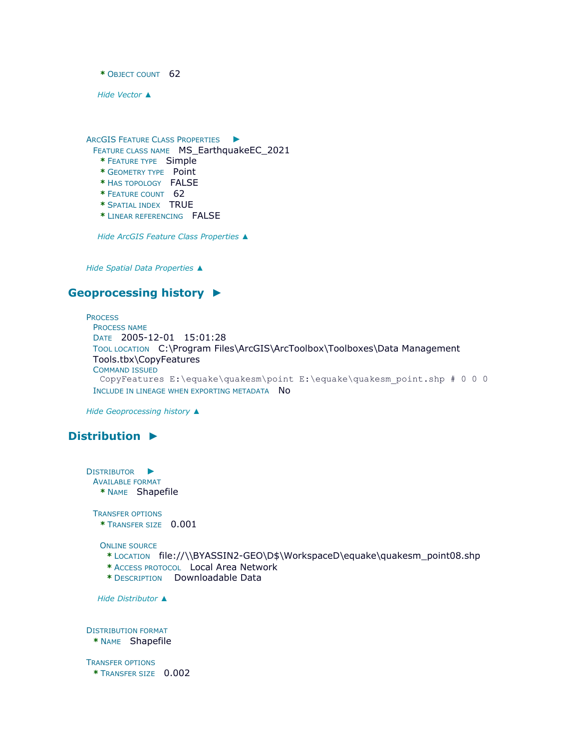**\*** OBJECT COUNT 62

*Hide [Vector](file:///C:/Users/swalker/AppData/Local/Temp/arcF10F/tmpAB41.tmp.htm%23ID0EBADA) [▲](file:///C:/Users/swalker/AppData/Local/Temp/arcF10F/tmpAB41.tmp.htm%23ID0EBADA)*

ARCGIS FEATURE CLASS P[ROPERTIES](file:///C:/Users/swalker/AppData/Local/Temp/arcF10F/tmpAB41.tmp.htm%23ID0EA) ►

FEATURE CLASS NAME MS\_EarthquakeEC\_2021

- **\*** FEATURE TYPE Simple
- **\*** GEOMETRY TYPE Point
- **\*** HAS TOPOLOGY FALSE
- **\*** FEATURE COUNT 62
- **\*** SPATIAL INDEX TRUE
- **\*** LINEAR REFERENCING FALSE

*Hide [ArcGIS Feature Class Properties](file:///C:/Users/swalker/AppData/Local/Temp/arcF10F/tmpAB41.tmp.htm%23ID0EA) [▲](file:///C:/Users/swalker/AppData/Local/Temp/arcF10F/tmpAB41.tmp.htm%23ID0EA)*

*Hide [Spatial Data Properties](file:///C:/Users/swalker/AppData/Local/Temp/arcF10F/tmpAB41.tmp.htm%23ID0EFAASA) [▲](file:///C:/Users/swalker/AppData/Local/Temp/arcF10F/tmpAB41.tmp.htm%23ID0EFAASA)*

## **[Geoprocessing history](file:///C:/Users/swalker/AppData/Local/Temp/arcF10F/tmpAB41.tmp.htm%23ID0ECENA) [►](file:///C:/Users/swalker/AppData/Local/Temp/arcF10F/tmpAB41.tmp.htm%23ID0ECENA)**

**PROCESS** PROCESS NAME DATE 2005-12-01 15:01:28 TOOL LOCATION C:\Program Files\ArcGIS\ArcToolbox\Toolboxes\Data Management Tools.tbx\CopyFeatures COMMAND ISSUED CopyFeatures E:\equake\quakesm\point E:\equake\quakesm point.shp # 0 0 0 INCLUDE IN LINEAGE WHEN EXPORTING METADATA NO

*Hide [Geoprocessing history](file:///C:/Users/swalker/AppData/Local/Temp/arcF10F/tmpAB41.tmp.htm%23ID0ECENA) [▲](file:///C:/Users/swalker/AppData/Local/Temp/arcF10F/tmpAB41.tmp.htm%23ID0ECENA)*

## **[Distribution](file:///C:/Users/swalker/AppData/Local/Temp/arcF10F/tmpAB41.tmp.htm%23ID0EFA) [►](file:///C:/Users/swalker/AppData/Local/Temp/arcF10F/tmpAB41.tmp.htm%23ID0EFA)**

D[ISTRIBUTOR](file:///C:/Users/swalker/AppData/Local/Temp/arcF10F/tmpAB41.tmp.htm%23ID0EBCFA) ► AVAILABLE FORMAT **\*** NAME Shapefile TRANSFER OPTIONS **\*** TRANSFER SIZE 0.001 ONLINE SOURCE **\*** LOCATION file://\\BYASSIN2-GEO\D\$\WorkspaceD\equake\quakesm\_point08.shp **\*** ACCESS PROTOCOL Local Area Network **\*** DESCRIPTION Downloadable Data *Hide [Distributor](file:///C:/Users/swalker/AppData/Local/Temp/arcF10F/tmpAB41.tmp.htm%23ID0EBCFA) [▲](file:///C:/Users/swalker/AppData/Local/Temp/arcF10F/tmpAB41.tmp.htm%23ID0EBCFA)* DISTRIBUTION FORMAT **\*** NAME Shapefile TRANSFER OPTIONS **\*** TRANSFER SIZE 0.002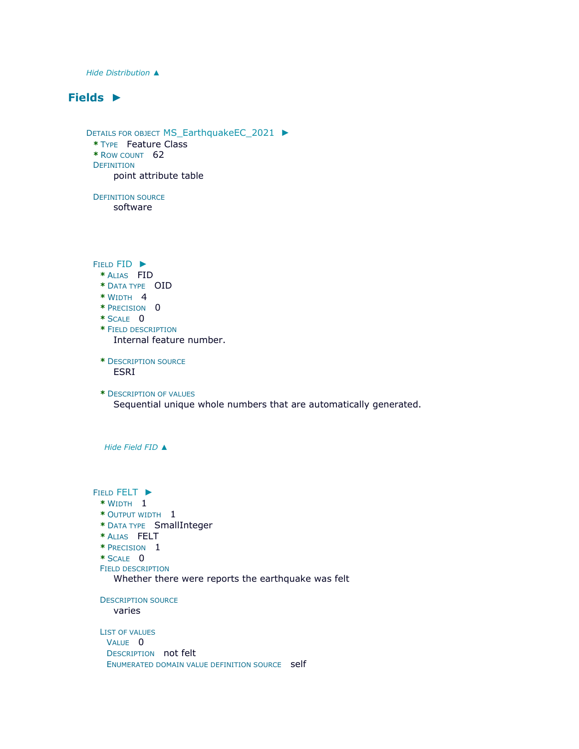*Hide [Distribution](file:///C:/Users/swalker/AppData/Local/Temp/arcF10F/tmpAB41.tmp.htm%23ID0EFA) [▲](file:///C:/Users/swalker/AppData/Local/Temp/arcF10F/tmpAB41.tmp.htm%23ID0EFA)*

## **[Fields](file:///C:/Users/swalker/AppData/Local/Temp/arcF10F/tmpAB41.tmp.htm%23ID0EQA) [►](file:///C:/Users/swalker/AppData/Local/Temp/arcF10F/tmpAB41.tmp.htm%23ID0EQA)**

```
DETAILS FOR OBJECT MS_EarthquakeEC_2021 ►
 * TYPE Feature Class 
 * ROW COUNT 62 
 DEFINITION
      point attribute table
 DEFINITION SOURCE
      software 
 FIELD FID ►
   * ALIAS FID 
   * DATA TYPE OID 
   * WIDTH 4 
   * PRECISION 0 
   * SCALE 0 
   * FIELD DESCRIPTION
     Internal feature number.
   * DESCRIPTION SOURCE
      ESRI
   * DESCRIPTION OF VALUES
      Sequential unique whole numbers that are automatically generated.
   Hide Field FID ▲
 FIELD FELT ►
   * WIDTH 1 
   * OUTPUT WIDTH 1 
  * DATA TYPE SmallInteger 
   * ALIAS FELT 
   * PRECISION 1 
   * SCALE 0 
   FIELD DESCRIPTION
      Whether there were reports the earthquake was felt
   DESCRIPTION SOURCE
     varies
   LIST OF VALUES
    VALUE 0
    DESCRIPTION not felt 
    ENUMERATED DOMAIN VALUE DEFINITION SOURCE Self
```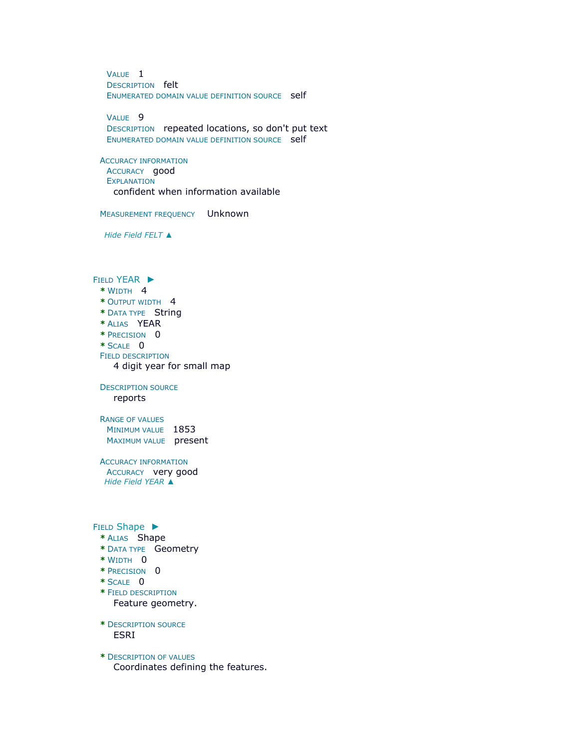VALUE 1 DESCRIPTION felt ENUMERATED DOMAIN VALUE DEFINITION SOURCE Self

VALUE 9 DESCRIPTION repeated locations, so don't put text ENUMERATED DOMAIN VALUE DEFINITION SOURCE Self

ACCURACY INFORMATION ACCURACY good **EXPLANATION** confident when information available

MEASUREMENT FREQUENCY Unknown

*Hide Field [FELT](file:///C:/Users/swalker/AppData/Local/Temp/arcF10F/tmpAB41.tmp.htm%23ID0EKBQA) [▲](file:///C:/Users/swalker/AppData/Local/Temp/arcF10F/tmpAB41.tmp.htm%23ID0EKBQA)*

FIELD [YEAR](file:///C:/Users/swalker/AppData/Local/Temp/arcF10F/tmpAB41.tmp.htm%23ID0EJBQA) ► **\*** WIDTH 4

**\*** OUTPUT WIDTH 4 **\*** DATA TYPE String **\*** ALIAS YEAR **\*** PRECISION 0 **\*** SCALE 0 FIELD DESCRIPTION

4 digit year for small map

DESCRIPTION SOURCE reports

RANGE OF VALUES MINIMUM VALUE 1853 MAXIMUM VALUE present

ACCURACY INFORMATION ACCURACY very good *Hide Field [YEAR](file:///C:/Users/swalker/AppData/Local/Temp/arcF10F/tmpAB41.tmp.htm%23ID0EJBQA) [▲](file:///C:/Users/swalker/AppData/Local/Temp/arcF10F/tmpAB41.tmp.htm%23ID0EJBQA)*

FIELD [Shape](file:///C:/Users/swalker/AppData/Local/Temp/arcF10F/tmpAB41.tmp.htm%23ID0EIBQA) ►

- **\*** ALIAS Shape
- **\*** DATA TYPE Geometry
- **\*** WIDTH 0
- **\*** PRECISION 0
- **\*** SCALE 0
- **\*** FIELD DESCRIPTION Feature geometry.
- **\*** DESCRIPTION SOURCE ESRI
- **\*** DESCRIPTION OF VALUES Coordinates defining the features.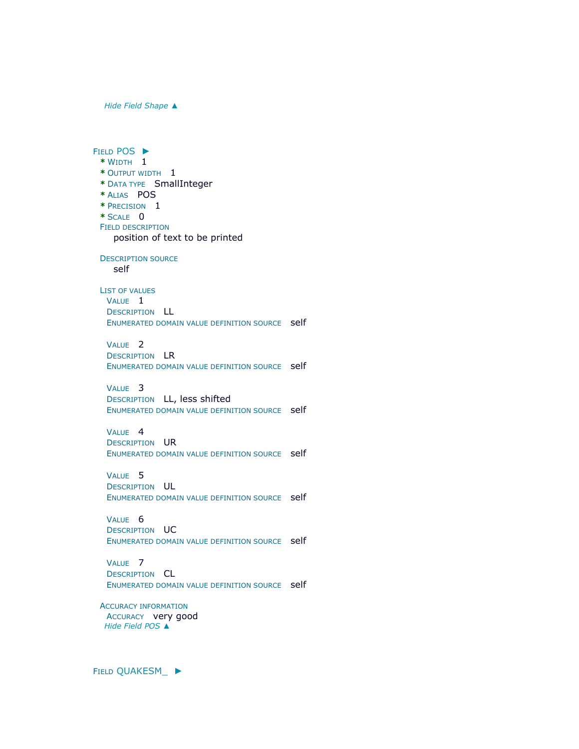*Hide Field [Shape](file:///C:/Users/swalker/AppData/Local/Temp/arcF10F/tmpAB41.tmp.htm%23ID0EIBQA) [▲](file:///C:/Users/swalker/AppData/Local/Temp/arcF10F/tmpAB41.tmp.htm%23ID0EIBQA)*

FIELD [POS](file:///C:/Users/swalker/AppData/Local/Temp/arcF10F/tmpAB41.tmp.htm%23ID0EHBQA) ► **\*** WIDTH 1 **\*** OUTPUT WIDTH 1 **\*** DATA TYPE SmallInteger **\*** ALIAS POS **\*** PRECISION 1 **\*** SCALE 0 FIELD DESCRIPTION position of text to be printed DESCRIPTION SOURCE self LIST OF VALUES VALUE 1 DESCRIPTION LL ENUMERATED DOMAIN VALUE DEFINITION SOURCE Self VALUE 2 DESCRIPTION LR ENUMERATED DOMAIN VALUE DEFINITION SOURCE Self VALUE 3 DESCRIPTION LL, less shifted ENUMERATED DOMAIN VALUE DEFINITION SOURCE Self VALUE<sub>4</sub> DESCRIPTION UR ENUMERATED DOMAIN VALUE DEFINITION SOURCE Self VALUE 5 DESCRIPTION UL ENUMERATED DOMAIN VALUE DEFINITION SOURCE Self VALUE 6 DESCRIPTION UC ENUMERATED DOMAIN VALUE DEFINITION SOURCE self VALUE 7 DESCRIPTION CL ENUMERATED DOMAIN VALUE DEFINITION SOURCE self ACCURACY INFORMATION ACCURACY very good *Hide [Field](file:///C:/Users/swalker/AppData/Local/Temp/arcF10F/tmpAB41.tmp.htm%23ID0EHBQA) POS [▲](file:///C:/Users/swalker/AppData/Local/Temp/arcF10F/tmpAB41.tmp.htm%23ID0EHBQA)*

FIELD [QUAKESM\\_](file:///C:/Users/swalker/AppData/Local/Temp/arcF10F/tmpAB41.tmp.htm%23ID0EGBQA) ►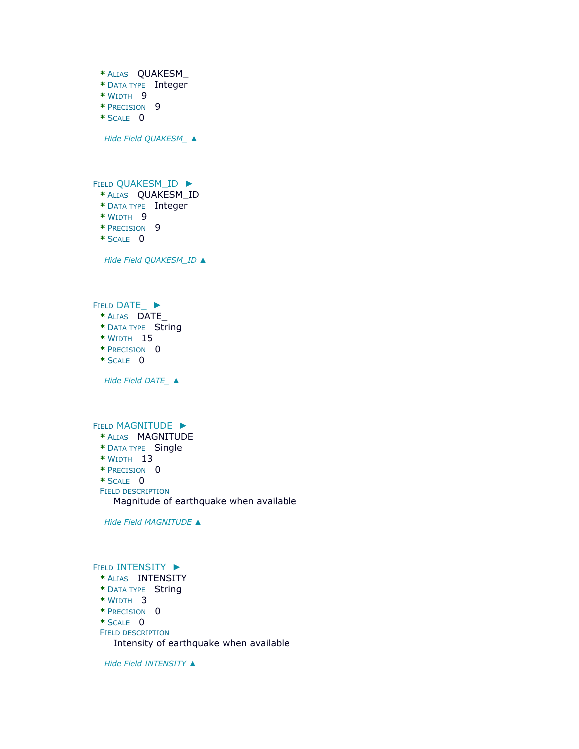**\*** ALIAS QUAKESM\_ **\*** DATA TYPE Integer **\*** WIDTH 9 **\*** PRECISION 9 **\*** SCALE 0 *Hide Field [QUAKESM\\_](file:///C:/Users/swalker/AppData/Local/Temp/arcF10F/tmpAB41.tmp.htm%23ID0EGBQA) [▲](file:///C:/Users/swalker/AppData/Local/Temp/arcF10F/tmpAB41.tmp.htm%23ID0EGBQA)* FIELD [QUAKESM\\_ID](file:///C:/Users/swalker/AppData/Local/Temp/arcF10F/tmpAB41.tmp.htm%23ID0EFBQA) ► **\*** ALIAS QUAKESM\_ID **\*** DATA TYPE Integer **\*** WIDTH 9 **\*** PRECISION 9 **\*** SCALE 0 *Hide Field [QUAKESM\\_ID](file:///C:/Users/swalker/AppData/Local/Temp/arcF10F/tmpAB41.tmp.htm%23ID0EFBQA) [▲](file:///C:/Users/swalker/AppData/Local/Temp/arcF10F/tmpAB41.tmp.htm%23ID0EFBQA)* FIELD [DATE\\_](file:///C:/Users/swalker/AppData/Local/Temp/arcF10F/tmpAB41.tmp.htm%23ID0EEBQA) ► **\*** ALIAS DATE\_ **\*** DATA TYPE String **\*** WIDTH 15 **\*** PRECISION 0 **\*** SCALE 0 *Hide Field [DATE\\_](file:///C:/Users/swalker/AppData/Local/Temp/arcF10F/tmpAB41.tmp.htm%23ID0EEBQA) [▲](file:///C:/Users/swalker/AppData/Local/Temp/arcF10F/tmpAB41.tmp.htm%23ID0EEBQA)* FIELD [MAGNITUDE](file:///C:/Users/swalker/AppData/Local/Temp/arcF10F/tmpAB41.tmp.htm%23ID0EDBQA) ▶ **\*** ALIAS MAGNITUDE **\*** DATA TYPE Single **\*** WIDTH 13 **\*** PRECISION 0 **\*** SCALE 0 FIELD DESCRIPTION Magnitude of earthquake when available *Hide Field [MAGNITUDE](file:///C:/Users/swalker/AppData/Local/Temp/arcF10F/tmpAB41.tmp.htm%23ID0EDBQA) [▲](file:///C:/Users/swalker/AppData/Local/Temp/arcF10F/tmpAB41.tmp.htm%23ID0EDBQA)* FIELD **[INTENSITY](file:///C:/Users/swalker/AppData/Local/Temp/arcF10F/tmpAB41.tmp.htm%23ID0ECBQA)** ▶ **\*** ALIAS INTENSITY **\*** DATA TYPE String

- **\*** WIDTH 3
- **\*** PRECISION 0
- **\*** SCALE 0
- FIELD DESCRIPTION

Intensity of earthquake when available

*Hide Field [INTENSITY](file:///C:/Users/swalker/AppData/Local/Temp/arcF10F/tmpAB41.tmp.htm%23ID0ECBQA) [▲](file:///C:/Users/swalker/AppData/Local/Temp/arcF10F/tmpAB41.tmp.htm%23ID0ECBQA)*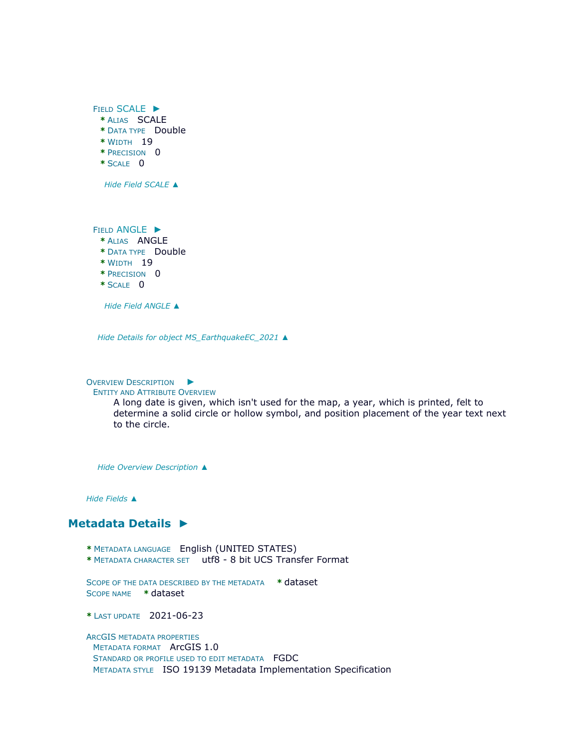

*Hide Field [ANGLE](file:///C:/Users/swalker/AppData/Local/Temp/arcF10F/tmpAB41.tmp.htm%23ID0EABQA) [▲](file:///C:/Users/swalker/AppData/Local/Temp/arcF10F/tmpAB41.tmp.htm%23ID0EABQA)*

*Hide Details for object [MS\\_EarthquakeEC\\_2021](file:///C:/Users/swalker/AppData/Local/Temp/arcF10F/tmpAB41.tmp.htm%23ID0EBQA) [▲](file:///C:/Users/swalker/AppData/Local/Temp/arcF10F/tmpAB41.tmp.htm%23ID0EBQA)*

OVERVIEW D[ESCRIPTION](file:///C:/Users/swalker/AppData/Local/Temp/arcF10F/tmpAB41.tmp.htm%23ID0EAQA)  $\blacktriangleright$ 

#### ENTITY AND ATTRIBUTE OVERVIEW

A long date is given, which isn't used for the map, a year, which is printed, felt to determine a solid circle or hollow symbol, and position placement of the year text next to the circle.

*Hide [Overview Description](file:///C:/Users/swalker/AppData/Local/Temp/arcF10F/tmpAB41.tmp.htm%23ID0EAQA) [▲](file:///C:/Users/swalker/AppData/Local/Temp/arcF10F/tmpAB41.tmp.htm%23ID0EAQA)*

*Hide [Fields](file:///C:/Users/swalker/AppData/Local/Temp/arcF10F/tmpAB41.tmp.htm%23ID0EQA) [▲](file:///C:/Users/swalker/AppData/Local/Temp/arcF10F/tmpAB41.tmp.htm%23ID0EQA)*

#### **[Metadata Details](file:///C:/Users/swalker/AppData/Local/Temp/arcF10F/tmpAB41.tmp.htm%23ID0TALNA) [►](file:///C:/Users/swalker/AppData/Local/Temp/arcF10F/tmpAB41.tmp.htm%23ID0TALNA)**

- **\*** METADATA LANGUAGE English (UNITED STATES)
- **\*** METADATA CHARACTER SET utf8 8 bit UCS Transfer Format

SCOPE OF THE DATA DESCRIBED BY THE METADATA **\*** dataset SCOPE NAME **\*** dataset

**\*** LAST UPDATE 2021-06-23

ARCGIS METADATA PROPERTIES METADATA FORMAT ArcGIS 1.0 STANDARD OR PROFILE USED TO EDIT METADATA FGDC METADATA STYLE ISO 19139 Metadata Implementation Specification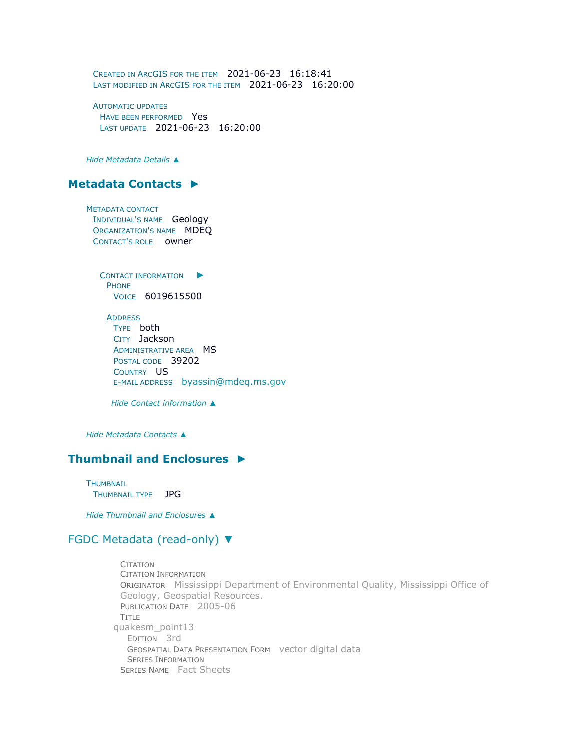CREATED IN ARCGIS FOR THE ITEM 2021-06-23 16:18:41 LAST MODIFIED IN ARCGIS FOR THE ITEM 2021-06-23 16:20:00

AUTOMATIC UPDATES HAVE BEEN PERFORMED Yes LAST UPDATE 2021-06-23 16:20:00

*Hide [Metadata Details](file:///C:/Users/swalker/AppData/Local/Temp/arcF10F/tmpAB41.tmp.htm%23ID0TALNA) [▲](file:///C:/Users/swalker/AppData/Local/Temp/arcF10F/tmpAB41.tmp.htm%23ID0TALNA)*

## **[Metadata Contacts](file:///C:/Users/swalker/AppData/Local/Temp/arcF10F/tmpAB41.tmp.htm%23ID0EAA) [►](file:///C:/Users/swalker/AppData/Local/Temp/arcF10F/tmpAB41.tmp.htm%23ID0EAA)**

METADATA CONTACT INDIVIDUAL'S NAME Geology ORGANIZATION'S NAME MDEQ CONTACT'S ROLE owner

> C[ONTACT INFORMATION](file:///C:/Users/swalker/AppData/Local/Temp/arcF10F/tmpAB41.tmp.htm%23ID0EAAA) ▶ PHONE VOICE 6019615500

**ADDRESS** TYPE both CITY Jackson ADMINISTRATIVE AREA MS POSTAL CODE 39202 COUNTRY US E-MAIL ADDRESS [byassin@mdeq.ms.gov](mailto:byassin@mdeq.ms.gov?subject=MS_EarthquakeEC_2021)

*Hide [Contact information](file:///C:/Users/swalker/AppData/Local/Temp/arcF10F/tmpAB41.tmp.htm%23ID0EAAA) [▲](file:///C:/Users/swalker/AppData/Local/Temp/arcF10F/tmpAB41.tmp.htm%23ID0EAAA)*

*Hide [Metadata Contacts](file:///C:/Users/swalker/AppData/Local/Temp/arcF10F/tmpAB41.tmp.htm%23ID0EAA) [▲](file:///C:/Users/swalker/AppData/Local/Temp/arcF10F/tmpAB41.tmp.htm%23ID0EAA)*

## **[Thumbnail and Enclosures](file:///C:/Users/swalker/AppData/Local/Temp/arcF10F/tmpAB41.tmp.htm%23ID0EBA) [►](file:///C:/Users/swalker/AppData/Local/Temp/arcF10F/tmpAB41.tmp.htm%23ID0EBA)**

**THUMBNAIL** THUMBNAIL TYPE JPG

*Hide [Thumbnail and Enclosures](file:///C:/Users/swalker/AppData/Local/Temp/arcF10F/tmpAB41.tmp.htm%23ID0EBA) [▲](file:///C:/Users/swalker/AppData/Local/Temp/arcF10F/tmpAB41.tmp.htm%23ID0EBA)*

### [FGDC Metadata \(read-only\)](file:///C:/Users/swalker/AppData/Local/Temp/arcF10F/tmpAB41.tmp.htm%23fgdcMetadata) [▼](file:///C:/Users/swalker/AppData/Local/Temp/arcF10F/tmpAB41.tmp.htm%23fgdcMetadata)

**CITATION** CITATION INFORMATION ORIGINATOR Mississippi Department of Environmental Quality, Mississippi Office of Geology, Geospatial Resources. PUBLICATION DATE 2005-06 TITLE quakesm\_point13 EDITION 3rd GEOSPATIAL DATA PRESENTATION FORM vector digital data SERIES INFORMATION SERIES NAME Fact Sheets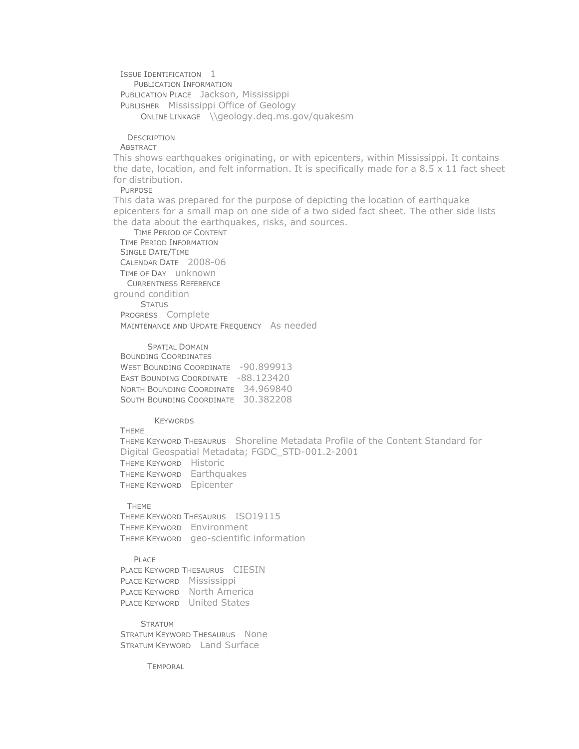ISSUE IDENTIFICATION 1 PUBLICATION INFORMATION PUBLICATION PLACE Jackson, Mississippi PUBLISHER Mississippi Office of Geology ONLINE LINKAGE [\\geology.deq.ms.gov/quakesm](file://///geology.deq.ms.gov/quakesm)

**DESCRIPTION** 

**ABSTRACT** 

This shows earthquakes originating, or with epicenters, within Mississippi. It contains the date, location, and felt information. It is specifically made for a  $8.5 \times 11$  fact sheet for distribution.

PURPOSE

This data was prepared for the purpose of depicting the location of earthquake epicenters for a small map on one side of a two sided fact sheet. The other side lists the data about the earthquakes, risks, and sources.

TIME PERIOD OF CONTENT TIME PERIOD INFORMATION SINGLE DATE/TIME CALENDAR DATE 2008-06 TIME OF DAY unknown CURRENTNESS REFERENCE ground condition **STATUS** PROGRESS Complete MAINTENANCE AND UPDATE FREQUENCY As needed

SPATIAL DOMAIN BOUNDING COORDINATES WEST BOUNDING COORDINATE -90.899913 EAST BOUNDING COORDINATE -88.123420 NORTH BOUNDING COORDINATE 34.969840 SOUTH BOUNDING COORDINATE 30.382208

KEYWORDS **THEME** 

THEME KEYWORD THESAURUS Shoreline Metadata Profile of the Content Standard for Digital Geospatial Metadata; FGDC\_STD-001.2-2001 THEME KEYWORD Historic THEME KEYWORD Earthquakes THEME KEYWORD Epicenter

THEME

THEME KEYWORD THESAURUS ISO19115 THEME KEYWORD Environment THEME KEYWORD geo-scientific information

PLACE

PLACE KEYWORD THESAURUS CIESIN PLACE KEYWORD Mississippi PLACE KEYWORD North America PLACE KEYWORD United States

**STRATUM** STRATUM KEYWORD THESAURUS None STRATUM KEYWORD Land Surface

**TEMPORAL**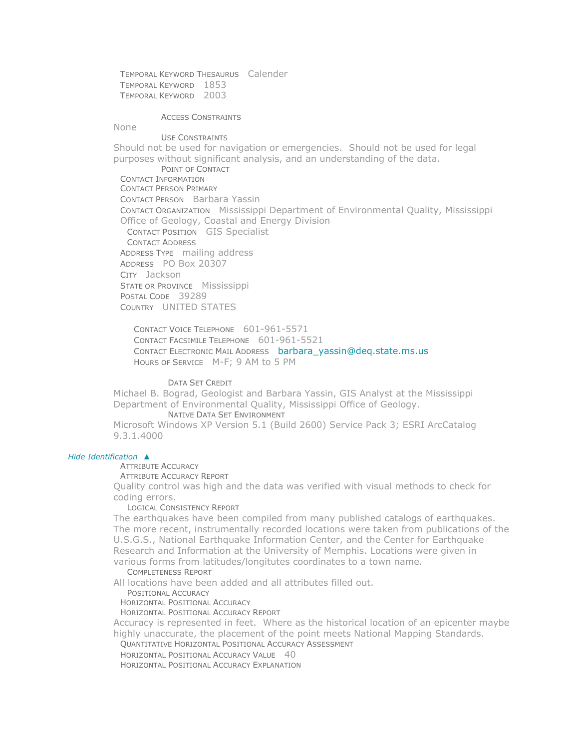TEMPORAL KEYWORD THESAURUS Calender TEMPORAL KEYWORD 1853 TEMPORAL KEYWORD 2003

#### ACCESS CONSTRAINTS

None

USE CONSTRAINTS Should not be used for navigation or emergencies. Should not be used for legal purposes without significant analysis, and an understanding of the data. POINT OF CONTACT CONTACT INFORMATION CONTACT PERSON PRIMARY CONTACT PERSON Barbara Yassin CONTACT ORGANIZATION Mississippi Department of Environmental Quality, Mississippi Office of Geology, Coastal and Energy Division CONTACT POSITION GIS Specialist CONTACT ADDRESS ADDRESS TYPE mailing address ADDRESS PO Box 20307 CITY Jackson STATE OR PROVINCE Mississippi POSTAL CODE 39289 COUNTRY UNITED STATES

CONTACT VOICE TELEPHONE 601-961-5571 CONTACT FACSIMILE TELEPHONE 601-961-5521 CONTACT ELECTRONIC MAIL ADDRESS [barbara\\_yassin@deq.state.ms.us](mailto:barbara_yassin@deq.state.ms.us?subject=MS_EarthquakeEC_2021) HOURS OF SERVICE M-F; 9 AM to 5 PM

DATA SET CREDIT

Michael B. Bograd, Geologist and Barbara Yassin, GIS Analyst at the Mississippi Department of Environmental Quality, Mississippi Office of Geology. NATIVE DATA SET ENVIRONMENT

Microsoft Windows XP Version 5.1 (Build 2600) Service Pack 3; ESRI ArcCatalog 9.3.1.4000

#### *Hide [Identification](file:///C:/Users/swalker/AppData/Local/Temp/arcF10F/tmpAB41.tmp.htm%23ID0EUA) [▲](file:///C:/Users/swalker/AppData/Local/Temp/arcF10F/tmpAB41.tmp.htm%23ID0EUA)*

ATTRIBUTE ACCURACY

ATTRIBUTE ACCURACY REPORT

Quality control was high and the data was verified with visual methods to check for coding errors.

LOGICAL CONSISTENCY REPORT

The earthquakes have been compiled from many published catalogs of earthquakes. The more recent, instrumentally recorded locations were taken from publications of the U.S.G.S., National Earthquake Information Center, and the Center for Earthquake Research and Information at the University of Memphis. Locations were given in various forms from latitudes/longitutes coordinates to a town name.

COMPLETENESS REPORT

All locations have been added and all attributes filled out.

POSITIONAL ACCURACY

HORIZONTAL POSITIONAL ACCURACY

HORIZONTAL POSITIONAL ACCURACY REPORT

Accuracy is represented in feet. Where as the historical location of an epicenter maybe highly unaccurate, the placement of the point meets National Mapping Standards.

QUANTITATIVE HORIZONTAL POSITIONAL ACCURACY ASSESSMENT

HORIZONTAL POSITIONAL ACCURACY VALUE 40

HORIZONTAL POSITIONAL ACCURACY EXPLANATION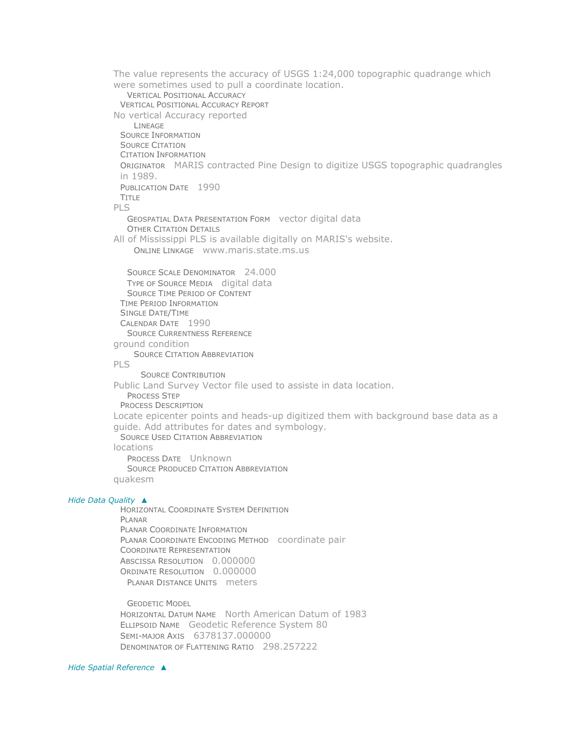The value represents the accuracy of USGS 1:24,000 topographic quadrange which were sometimes used to pull a coordinate location. VERTICAL POSITIONAL ACCURACY VERTICAL POSITIONAL ACCURACY REPORT No vertical Accuracy reported LINEAGE SOURCE INFORMATION SOURCE CITATION CITATION INFORMATION ORIGINATOR MARIS contracted Pine Design to digitize USGS topographic quadrangles in 1989. PUBLICATION DATE 1990 TITLE PLS GEOSPATIAL DATA PRESENTATION FORM vector digital data OTHER CITATION DETAILS All of Mississippi PLS is available digitally on MARIS's website. ONLINE LINKAGE [www.maris.state.ms.us](file:///C:/Users/swalker/AppData/Local/Temp/arcF10F/www.maris.state.ms.us) SOURCE SCALE DENOMINATOR 24.000 TYPE OF SOURCE MEDIA digital data SOURCE TIME PERIOD OF CONTENT TIME PERIOD INFORMATION SINGLE DATE/TIME CALENDAR DATE 1990 SOURCE CURRENTNESS REFERENCE ground condition SOURCE CITATION ABBREVIATION PLS SOURCE CONTRIBUTION Public Land Survey Vector file used to assiste in data location. PROCESS STEP PROCESS DESCRIPTION Locate epicenter points and heads-up digitized them with background base data as a guide. Add attributes for dates and symbology. SOURCE USED CITATION ABBREVIATION locations PROCESS DATE Unknown SOURCE PRODUCED CITATION ABBREVIATION quakesm *Hide [Data Quality](file:///C:/Users/swalker/AppData/Local/Temp/arcF10F/tmpAB41.tmp.htm%23ID0ETA) [▲](file:///C:/Users/swalker/AppData/Local/Temp/arcF10F/tmpAB41.tmp.htm%23ID0ETA)* HORIZONTAL COORDINATE SYSTEM DEFINITION PLANAR PLANAR COORDINATE INFORMATION PLANAR COORDINATE ENCODING METHOD coordinate pair COORDINATE REPRESENTATION ABSCISSA RESOLUTION 0.000000 ORDINATE RESOLUTION 0.000000 PLANAR DISTANCE UNITS meters GEODETIC MODEL

HORIZONTAL DATUM NAME North American Datum of 1983 ELLIPSOID NAME Geodetic Reference System 80 SEMI-MAJOR AXIS 6378137.000000 DENOMINATOR OF FLATTENING RATIO 298.257222

*Hide [Spatial Reference](file:///C:/Users/swalker/AppData/Local/Temp/arcF10F/tmpAB41.tmp.htm%23ID0ERA) [▲](file:///C:/Users/swalker/AppData/Local/Temp/arcF10F/tmpAB41.tmp.htm%23ID0ERA)*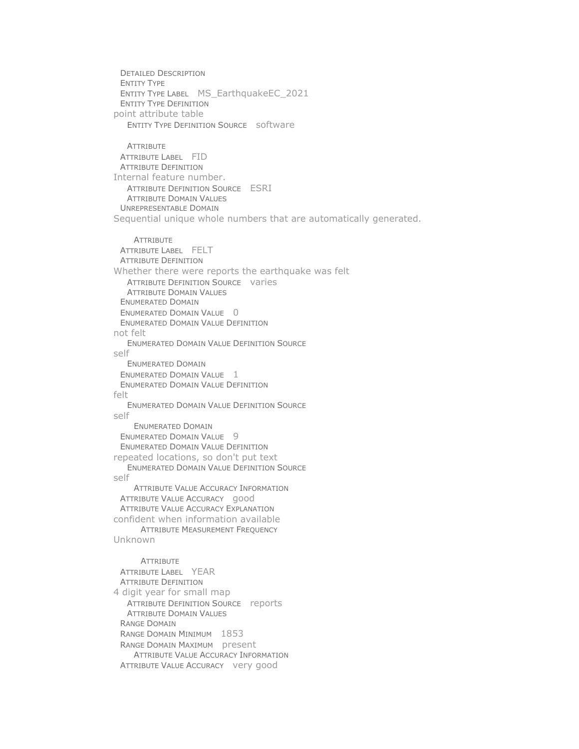DETAILED DESCRIPTION ENTITY TYPE ENTITY TYPE LABEL MS\_EarthquakeEC\_2021 ENTITY TYPE DEFINITION point attribute table ENTITY TYPE DEFINITION SOURCE software **ATTRIBUTE** ATTRIBUTE LABEL FID ATTRIBUTE DEFINITION Internal feature number. ATTRIBUTE DEFINITION SOURCE ESRI ATTRIBUTE DOMAIN VALUES UNREPRESENTABLE DOMAIN Sequential unique whole numbers that are automatically generated. **ATTRIBUTE** ATTRIBUTE LABEL FELT ATTRIBUTE DEFINITION Whether there were reports the earthquake was felt ATTRIBUTE DEFINITION SOURCE varies ATTRIBUTE DOMAIN VALUES ENUMERATED DOMAIN ENUMERATED DOMAIN VALUE 0 ENUMERATED DOMAIN VALUE DEFINITION not felt ENUMERATED DOMAIN VALUE DEFINITION SOURCE self ENUMERATED DOMAIN ENUMERATED DOMAIN VALUE 1 ENUMERATED DOMAIN VALUE DEFINITION felt ENUMERATED DOMAIN VALUE DEFINITION SOURCE self ENUMERATED DOMAIN ENUMERATED DOMAIN VALUE 9 ENUMERATED DOMAIN VALUE DEFINITION repeated locations, so don't put text ENUMERATED DOMAIN VALUE DEFINITION SOURCE self ATTRIBUTE VALUE ACCURACY INFORMATION ATTRIBUTE VALUE ACCURACY good ATTRIBUTE VALUE ACCURACY EXPLANATION confident when information available ATTRIBUTE MEASUREMENT FREQUENCY Unknown **ATTRIBUTE** ATTRIBUTE LABEL YEAR ATTRIBUTE DEFINITION 4 digit year for small map ATTRIBUTE DEFINITION SOURCE reports ATTRIBUTE DOMAIN VALUES RANGE DOMAIN RANGE DOMAIN MINIMUM 1853 RANGE DOMAIN MAXIMUM present ATTRIBUTE VALUE ACCURACY INFORMATION ATTRIBUTE VALUE ACCURACY very good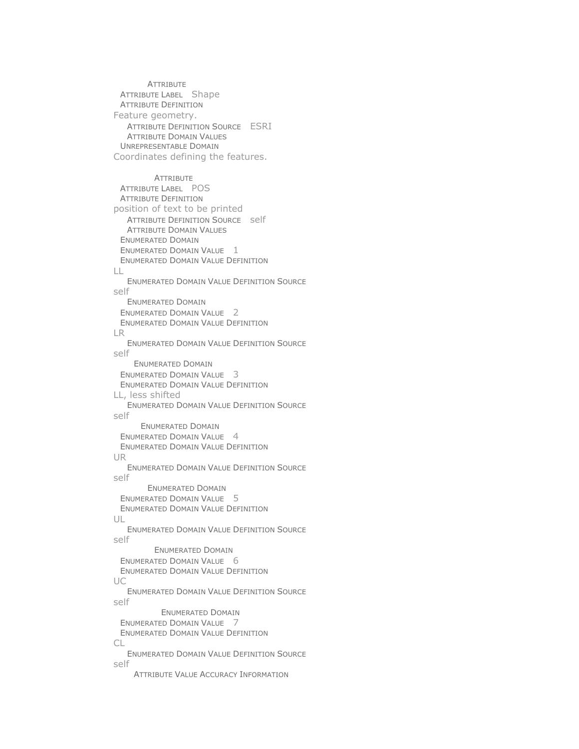**ATTRIBUTE** ATTRIBUTE LABEL Shape ATTRIBUTE DEFINITION Feature geometry. ATTRIBUTE DEFINITION SOURCE ESRI ATTRIBUTE DOMAIN VALUES UNREPRESENTABLE DOMAIN Coordinates defining the features. **ATTRIBUTE** ATTRIBUTE LABEL POS ATTRIBUTE DEFINITION position of text to be printed ATTRIBUTE DEFINITION SOURCE self ATTRIBUTE DOMAIN VALUES ENUMERATED DOMAIN ENUMERATED DOMAIN VALUE 1 ENUMERATED DOMAIN VALUE DEFINITION  $\Box$ ENUMERATED DOMAIN VALUE DEFINITION SOURCE self ENUMERATED DOMAIN ENUMERATED DOMAIN VALUE 2 ENUMERATED DOMAIN VALUE DEFINITION LR ENUMERATED DOMAIN VALUE DEFINITION SOURCE self ENUMERATED DOMAIN ENUMERATED DOMAIN VALUE 3 ENUMERATED DOMAIN VALUE DEFINITION LL, less shifted ENUMERATED DOMAIN VALUE DEFINITION SOURCE self ENUMERATED DOMAIN ENUMERATED DOMAIN VALUE 4 ENUMERATED DOMAIN VALUE DEFINITION UR ENUMERATED DOMAIN VALUE DEFINITION SOURCE self ENUMERATED DOMAIN ENUMERATED DOMAIN VALUE 5 ENUMERATED DOMAIN VALUE DEFINITION UL ENUMERATED DOMAIN VALUE DEFINITION SOURCE self ENUMERATED DOMAIN ENUMERATED DOMAIN VALUE 6 ENUMERATED DOMAIN VALUE DEFINITION UC ENUMERATED DOMAIN VALUE DEFINITION SOURCE self ENUMERATED DOMAIN ENUMERATED DOMAIN VALUE 7 ENUMERATED DOMAIN VALUE DEFINITION CL ENUMERATED DOMAIN VALUE DEFINITION SOURCE self ATTRIBUTE VALUE ACCURACY INFORMATION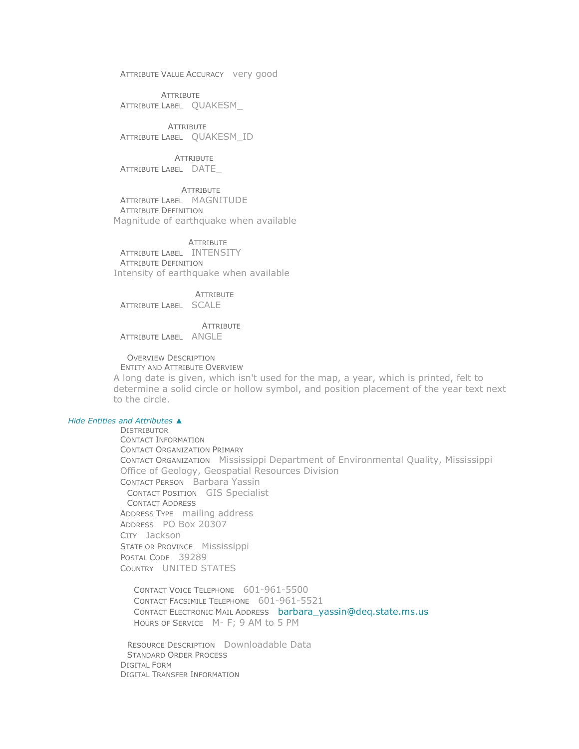ATTRIBUTE VALUE ACCURACY very good

**ATTRIBUTE** ATTRIBUTE LABEL QUAKESM\_

**ATTRIBUTE** ATTRIBUTE LABEL QUAKESM\_ID

**ATTRIBUTE** ATTRIBUTE LABEL DATE\_

ATTRIBUTE ATTRIBUTE LABEL MAGNITUDE ATTRIBUTE DEFINITION Magnitude of earthquake when available

**ATTRIBUTE** ATTRIBUTE LABEL INTENSITY ATTRIBUTE DEFINITION Intensity of earthquake when available

**ATTRIBUTE** ATTRIBUTE LABEL SCALE

**ATTRIBUTE** ATTRIBUTE LABEL ANGLE

OVERVIEW DESCRIPTION ENTITY AND ATTRIBUTE OVERVIEW

A long date is given, which isn't used for the map, a year, which is printed, felt to determine a solid circle or hollow symbol, and position placement of the year text next to the circle.

#### *Hide [Entities and Attributes](file:///C:/Users/swalker/AppData/Local/Temp/arcF10F/tmpAB41.tmp.htm%23/metadata/eainfo/text()%5b1%5d) [▲](file:///C:/Users/swalker/AppData/Local/Temp/arcF10F/tmpAB41.tmp.htm%23/metadata/eainfo/text()%5b1%5d)*

DISTRIBUTOR CONTACT INFORMATION CONTACT ORGANIZATION PRIMARY CONTACT ORGANIZATION Mississippi Department of Environmental Quality, Mississippi Office of Geology, Geospatial Resources Division CONTACT PERSON Barbara Yassin CONTACT POSITION GIS Specialist CONTACT ADDRESS ADDRESS TYPE mailing address ADDRESS PO Box 20307 CITY Jackson STATE OR PROVINCE Mississippi POSTAL CODE 39289 COUNTRY UNITED STATES

CONTACT VOICE TELEPHONE 601-961-5500 CONTACT FACSIMILE TELEPHONE 601-961-5521 CONTACT ELECTRONIC MAIL ADDRESS [barbara\\_yassin@deq.state.ms.us](mailto:barbara_yassin@deq.state.ms.us?subject=MS_EarthquakeEC_2021) HOURS OF SERVICE M- F; 9 AM to 5 PM

RESOURCE DESCRIPTION Downloadable Data STANDARD ORDER PROCESS DIGITAL FORM DIGITAL TRANSFER INFORMATION